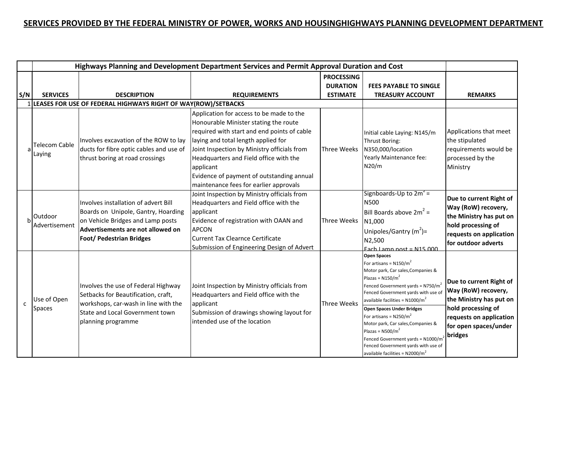## **SERVICES PROVIDED BY THE FEDERAL MINISTRY OF POWER, WORKS AND HOUSINGHIGHWAYS PLANNING DEVELOPMENT DEPARTMENT**

|              | Highways Planning and Development Department Services and Permit Approval Duration and Cost |                                                                                                                                                                                          |                                                                                                                                                                                                                                                                                                                                                                      |                    |                                                                                                                                                                                                                                                                                                                                                                                                                                                                                                |                                                                                                                                                                |  |
|--------------|---------------------------------------------------------------------------------------------|------------------------------------------------------------------------------------------------------------------------------------------------------------------------------------------|----------------------------------------------------------------------------------------------------------------------------------------------------------------------------------------------------------------------------------------------------------------------------------------------------------------------------------------------------------------------|--------------------|------------------------------------------------------------------------------------------------------------------------------------------------------------------------------------------------------------------------------------------------------------------------------------------------------------------------------------------------------------------------------------------------------------------------------------------------------------------------------------------------|----------------------------------------------------------------------------------------------------------------------------------------------------------------|--|
|              |                                                                                             |                                                                                                                                                                                          |                                                                                                                                                                                                                                                                                                                                                                      | <b>PROCESSING</b>  |                                                                                                                                                                                                                                                                                                                                                                                                                                                                                                |                                                                                                                                                                |  |
|              |                                                                                             |                                                                                                                                                                                          |                                                                                                                                                                                                                                                                                                                                                                      | <b>DURATION</b>    | <b>FEES PAYABLE TO SINGLE</b>                                                                                                                                                                                                                                                                                                                                                                                                                                                                  |                                                                                                                                                                |  |
| S/N          | <b>SERVICES</b>                                                                             | <b>DESCRIPTION</b>                                                                                                                                                                       | <b>REQUIREMENTS</b>                                                                                                                                                                                                                                                                                                                                                  | <b>ESTIMATE</b>    | <b>TREASURY ACCOUNT</b>                                                                                                                                                                                                                                                                                                                                                                                                                                                                        | <b>REMARKS</b>                                                                                                                                                 |  |
|              |                                                                                             | 1 LEASES FOR USE OF FEDERAL HIGHWAYS RIGHT OF WAY(ROW)/SETBACKS                                                                                                                          |                                                                                                                                                                                                                                                                                                                                                                      |                    |                                                                                                                                                                                                                                                                                                                                                                                                                                                                                                |                                                                                                                                                                |  |
| a            | Telecom Cable<br>Laying                                                                     | Involves excavation of the ROW to lay<br>ducts for fibre optic cables and use of<br>thrust boring at road crossings                                                                      | Application for access to be made to the<br>Honourable Minister stating the route<br>required with start and end points of cable<br>laying and total length applied for<br>Joint Inspection by Ministry officials from<br>Headquarters and Field office with the<br>applicant<br>Evidence of payment of outstanding annual<br>maintenance fees for earlier approvals | Three Weeks        | Initial cable Laying: N145/m<br>Thrust Boring:<br>N350,000/location<br>Yearly Maintenance fee:<br>N20/m                                                                                                                                                                                                                                                                                                                                                                                        | Applications that meet<br>the stipulated<br>requirements would be<br>processed by the<br>Ministry                                                              |  |
|              | Outdoor<br>Advertisement                                                                    | Involves installation of advert Bill<br>Boards on Unipole, Gantry, Hoarding<br>on Vehicle Bridges and Lamp posts<br>Advertisements are not allowed on<br><b>Foot/ Pedestrian Bridges</b> | Joint Inspection by Ministry officials from<br>Headquarters and Field office with the<br>applicant<br>Evidence of registration with OAAN and<br><b>APCON</b><br><b>Current Tax Clearnce Certificate</b><br>Submission of Engineering Design of Advert                                                                                                                | Three Weeks        | Signboards-Up to $2m^2$ =<br>N500<br>Bill Boards above $2m^2 =$<br>N1,000<br>Unipoles/Gantry $(m^2)$ =<br>N2,500<br>Each Lamn nost = $N15000$                                                                                                                                                                                                                                                                                                                                                  | Due to current Right of<br>Way (RoW) recovery,<br>the Ministry has put on<br>hold processing of<br>requests on application<br>for outdoor adverts              |  |
| $\mathsf{C}$ | Use of Open<br><b>Spaces</b>                                                                | Involves the use of Federal Highway<br>Setbacks for Beautification, craft,<br>workshops, car-wash in line with the<br>State and Local Government town<br>planning programme              | Joint Inspection by Ministry officials from<br>Headquarters and Field office with the<br>applicant<br>Submission of drawings showing layout for<br>lintended use of the location                                                                                                                                                                                     | <b>Three Weeks</b> | <b>Open Spaces</b><br>For artisans = $N150/m^2$<br>Motor park, Car sales, Companies &<br>Plazas = $N150/m^2$<br>Fenced Government yards = $N750/m^2$<br>Fenced Government yards with use of<br>available facilities = $N1000/m^2$<br><b>Open Spaces Under Bridges</b><br>For artisans = $N250/m^2$<br>Motor park, Car sales, Companies &<br>Plazas = $N500/m^2$<br>Fenced Government yards = N1000/m <sup>2</sup><br>Fenced Government yards with use of<br>available facilities = $N2000/m^2$ | Due to current Right of<br>Way (RoW) recovery,<br>the Ministry has put on<br>hold processing of<br>requests on application<br>for open spaces/under<br>bridges |  |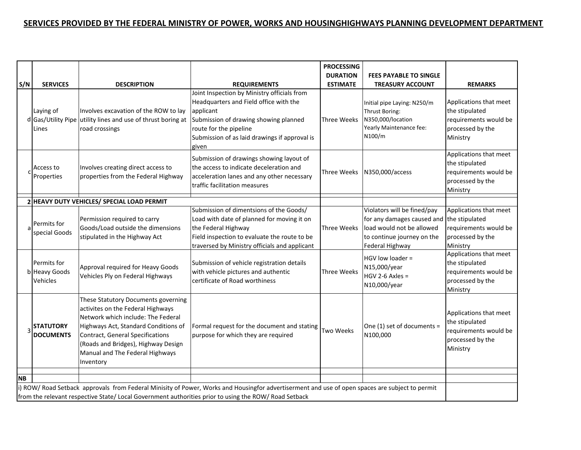## **SERVICES PROVIDED BY THE FEDERAL MINISTRY OF POWER, WORKS AND HOUSINGHIGHWAYS PLANNING DEVELOPMENT DEPARTMENT**

| S/N                                                                                                                                                                                                                                                      | <b>SERVICES</b>                          | <b>DESCRIPTION</b>                                                                                                                                                                                                                                                                       | <b>REQUIREMENTS</b>                                                                                                                                                                                                             | <b>PROCESSING</b><br><b>DURATION</b><br><b>ESTIMATE</b> | <b>FEES PAYABLE TO SINGLE</b><br><b>TREASURY ACCOUNT</b>                                                                                               | <b>REMARKS</b>                                                                                    |
|----------------------------------------------------------------------------------------------------------------------------------------------------------------------------------------------------------------------------------------------------------|------------------------------------------|------------------------------------------------------------------------------------------------------------------------------------------------------------------------------------------------------------------------------------------------------------------------------------------|---------------------------------------------------------------------------------------------------------------------------------------------------------------------------------------------------------------------------------|---------------------------------------------------------|--------------------------------------------------------------------------------------------------------------------------------------------------------|---------------------------------------------------------------------------------------------------|
|                                                                                                                                                                                                                                                          | Laying of<br>d Gas/Utility Pipe<br>Lines | Involves excavation of the ROW to lay<br>utility lines and use of thrust boring at<br>road crossings                                                                                                                                                                                     | Joint Inspection by Ministry officials from<br>Headquarters and Field office with the<br>applicant<br>Submission of drawing showing planned<br>route for the pipeline<br>Submission of as laid drawings if approval is<br>given | Three Weeks                                             | Initial pipe Laying: N250/m<br>Thrust Boring:<br>N350,000/location<br>Yearly Maintenance fee:<br>N100/m                                                | Applications that meet<br>the stipulated<br>requirements would be<br>processed by the<br>Ministry |
|                                                                                                                                                                                                                                                          | Access to<br>Properties                  | Involves creating direct access to<br>properties from the Federal Highway                                                                                                                                                                                                                | Submission of drawings showing layout of<br>the access to indicate deceleration and<br>acceleration lanes and any other necessary<br>traffic facilitation measures                                                              | Three Weeks                                             | N350,000/access                                                                                                                                        | Applications that meet<br>the stipulated<br>requirements would be<br>processed by the<br>Ministry |
|                                                                                                                                                                                                                                                          |                                          | 2 HEAVY DUTY VEHICLES/ SPECIAL LOAD PERMIT                                                                                                                                                                                                                                               |                                                                                                                                                                                                                                 |                                                         |                                                                                                                                                        |                                                                                                   |
| a                                                                                                                                                                                                                                                        | Permits for<br>special Goods             | Permission required to carry<br>Goods/Load outside the dimensions<br>stipulated in the Highway Act                                                                                                                                                                                       | Submission of dimentsions of the Goods/<br>Load with date of planned for moving it on<br>the Federal Highway<br>Field inspection to evaluate the route to be<br>traversed by Ministry officials and applicant                   | Three Weeks                                             | Violators will be fined/pay<br>for any damages caused and the stipulated<br>load would not be allowed<br>to continue journey on the<br>Federal Highway | Applications that meet<br>requirements would be<br>processed by the<br>Ministry                   |
|                                                                                                                                                                                                                                                          | Permits for<br>b Heavy Goods<br>Vehicles | Approval required for Heavy Goods<br>Vehicles Ply on Federal Highways                                                                                                                                                                                                                    | Submission of vehicle registration details<br>with vehicle pictures and authentic<br>certificate of Road worthiness                                                                                                             | Three Weeks                                             | HGV low loader =<br>N15,000/year<br>$HGV 2-6 Axles =$<br>N10,000/year                                                                                  | Applications that meet<br>the stipulated<br>requirements would be<br>processed by the<br>Ministry |
|                                                                                                                                                                                                                                                          | <b>STATUTORY</b><br><b>DOCUMENTS</b>     | These Statutory Documents governing<br>activites on the Federal Highways<br>Network which include: The Federal<br>Highways Act, Standard Conditions of<br><b>Contract, General Specifications</b><br>(Roads and Bridges), Highway Design<br>Manual and The Federal Highways<br>Inventory | Formal request for the document and stating<br>purpose for which they are required                                                                                                                                              | <b>Two Weeks</b>                                        | One (1) set of documents =<br>N100,000                                                                                                                 | Applications that meet<br>the stipulated<br>requirements would be<br>processed by the<br>Ministry |
| <b>NB</b>                                                                                                                                                                                                                                                |                                          |                                                                                                                                                                                                                                                                                          |                                                                                                                                                                                                                                 |                                                         |                                                                                                                                                        |                                                                                                   |
| i) ROW/ Road Setback approvals from Federal Minisity of Power, Works and Housingfor advertiserment and use of open spaces are subject to permit<br>from the relevant respective State/ Local Government authorities prior to using the ROW/ Road Setback |                                          |                                                                                                                                                                                                                                                                                          |                                                                                                                                                                                                                                 |                                                         |                                                                                                                                                        |                                                                                                   |